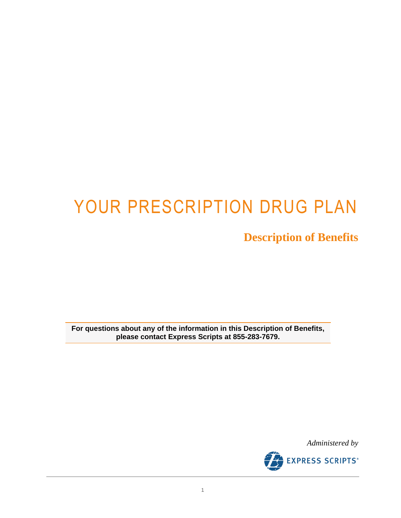# YOUR PRESCRIPTION DRUG PLAN

**Description of Benefits**

**For questions about any of the information in this Description of Benefits, please contact Express Scripts at 855-283-7679.**

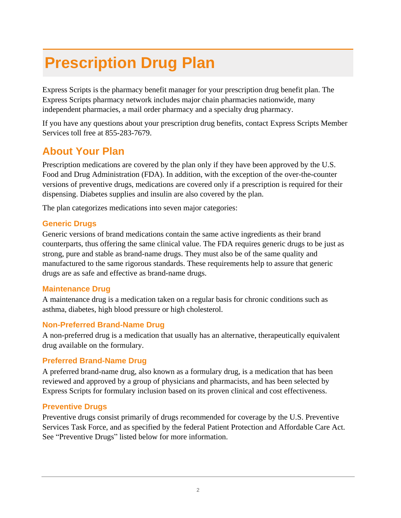# **Prescription Drug Plan**

Express Scripts is the pharmacy benefit manager for your prescription drug benefit plan. The Express Scripts pharmacy network includes major chain pharmacies nationwide, many independent pharmacies, a mail order pharmacy and a specialty drug pharmacy.

If you have any questions about your prescription drug benefits, contact Express Scripts Member Services toll free at 855-283-7679.

## **About Your Plan**

Prescription medications are covered by the plan only if they have been approved by the U.S. Food and Drug Administration (FDA). In addition, with the exception of the over-the-counter versions of preventive drugs, medications are covered only if a prescription is required for their dispensing. Diabetes supplies and insulin are also covered by the plan.

The plan categorizes medications into seven major categories:

#### **Generic Drugs**

Generic versions of brand medications contain the same active ingredients as their brand counterparts, thus offering the same clinical value. The FDA requires generic drugs to be just as strong, pure and stable as brand-name drugs. They must also be of the same quality and manufactured to the same rigorous standards. These requirements help to assure that generic drugs are as safe and effective as brand-name drugs.

#### **Maintenance Drug**

A maintenance drug is a medication taken on a regular basis for chronic conditions such as asthma, diabetes, high blood pressure or high cholesterol.

#### **Non-Preferred Brand-Name Drug**

A non-preferred drug is a medication that usually has an alternative, therapeutically equivalent drug available on the formulary.

#### **Preferred Brand-Name Drug**

A preferred brand-name drug, also known as a formulary drug, is a medication that has been reviewed and approved by a group of physicians and pharmacists, and has been selected by Express Scripts for formulary inclusion based on its proven clinical and cost effectiveness.

#### **Preventive Drugs**

Preventive drugs consist primarily of drugs recommended for coverage by the U.S. Preventive Services Task Force, and as specified by the federal Patient Protection and Affordable Care Act. See "Preventive Drugs" listed below for more information.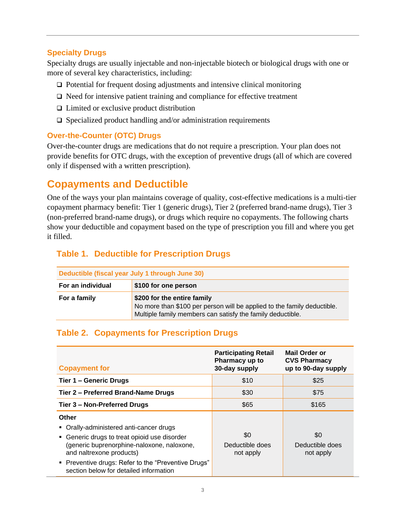#### **Specialty Drugs**

Specialty drugs are usually injectable and non-injectable biotech or biological drugs with one or more of several key characteristics, including:

- ❑ Potential for frequent dosing adjustments and intensive clinical monitoring
- ❑ Need for intensive patient training and compliance for effective treatment
- ❑ Limited or exclusive product distribution
- ❑ Specialized product handling and/or administration requirements

#### **Over-the-Counter (OTC) Drugs**

Over-the-counter drugs are medications that do not require a prescription. Your plan does not provide benefits for OTC drugs, with the exception of preventive drugs (all of which are covered only if dispensed with a written prescription).

## **Copayments and Deductible**

One of the ways your plan maintains coverage of quality, cost-effective medications is a multi-tier copayment pharmacy benefit: Tier 1 (generic drugs), Tier 2 (preferred brand-name drugs), Tier 3 (non-preferred brand-name drugs), or drugs which require no copayments. The following charts show your deductible and copayment based on the type of prescription you fill and where you get it filled.

#### **Table 1. Deductible for Prescription Drugs**

| Deductible (fiscal year July 1 through June 30) |                                                                                                                                                                      |
|-------------------------------------------------|----------------------------------------------------------------------------------------------------------------------------------------------------------------------|
| For an individual                               | \$100 for one person                                                                                                                                                 |
| For a family                                    | \$200 for the entire family<br>No more than \$100 per person will be applied to the family deductible.<br>Multiple family members can satisfy the family deductible. |

#### <span id="page-2-0"></span>**Table 2. Copayments for Prescription Drugs**

| <b>Copayment for</b>                                                                                                                                                                                                                                                        | <b>Participating Retail</b><br>Pharmacy up to<br>30-day supply | Mail Order or<br><b>CVS Pharmacy</b><br>up to 90-day supply |
|-----------------------------------------------------------------------------------------------------------------------------------------------------------------------------------------------------------------------------------------------------------------------------|----------------------------------------------------------------|-------------------------------------------------------------|
| Tier 1 – Generic Drugs                                                                                                                                                                                                                                                      | \$10                                                           | \$25                                                        |
| Tier 2 - Preferred Brand-Name Drugs                                                                                                                                                                                                                                         | \$30                                                           | \$75                                                        |
| Tier 3 – Non-Preferred Drugs                                                                                                                                                                                                                                                | \$65                                                           | \$165                                                       |
| Other<br>• Orally-administered anti-cancer drugs<br>• Generic drugs to treat opioid use disorder<br>(generic buprenorphine-naloxone, naloxone,<br>and naltrexone products)<br>• Preventive drugs: Refer to the "Preventive Drugs"<br>section below for detailed information | \$0<br>Deductible does<br>not apply                            | \$0<br>Deductible does<br>not apply                         |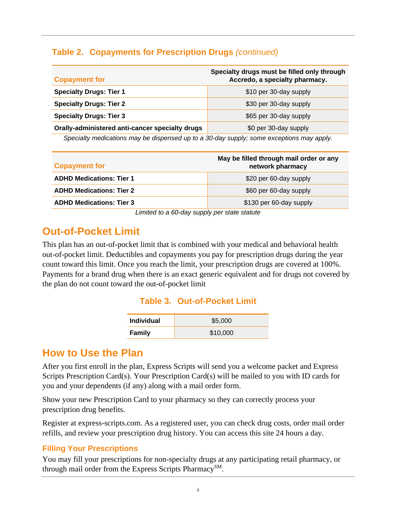#### **[Table 2.](#page-2-0) Copayments for Prescription Drugs** *(continued)*

| <b>Copayment for</b>                            | Specialty drugs must be filled only through<br>Accredo, a specialty pharmacy. |
|-------------------------------------------------|-------------------------------------------------------------------------------|
| <b>Specialty Drugs: Tier 1</b>                  | \$10 per 30-day supply                                                        |
| <b>Specialty Drugs: Tier 2</b>                  | \$30 per 30-day supply                                                        |
| <b>Specialty Drugs: Tier 3</b>                  | \$65 per 30-day supply                                                        |
| Orally-administered anti-cancer specialty drugs | \$0 per 30-day supply                                                         |

*Specialty medications may be dispensed up to a 30-day supply; some exceptions may apply.*

| <b>Copayment for</b>                                                       | May be filled through mail order or any<br>network pharmacy |
|----------------------------------------------------------------------------|-------------------------------------------------------------|
| <b>ADHD Medications: Tier 1</b>                                            | \$20 per 60-day supply                                      |
| <b>ADHD Medications: Tier 2</b>                                            | \$60 per 60-day supply                                      |
| <b>ADHD Medications: Tier 3</b>                                            | \$130 per 60-day supply                                     |
| $\mathbf{I}$ is its state of $\mathbf{A}$ state seconds as a state statute |                                                             |

*Limited to a 60-day supply per state statute*

## **Out-of-Pocket Limit**

This plan has an out-of-pocket limit that is combined with your medical and behavioral health out-of-pocket limit. Deductibles and copayments you pay for prescription drugs during the year count toward this limit. Once you reach the limit, your prescription drugs are covered at 100%. Payments for a brand drug when there is an exact generic equivalent and for drugs not covered by the plan do not count toward the out-of-pocket limit

#### **Table 3. Out-of-Pocket Limit**

| <b>Individual</b> | \$5,000  |
|-------------------|----------|
| <b>Family</b>     | \$10,000 |

### **How to Use the Plan**

After you first enroll in the plan, Express Scripts will send you a welcome packet and Express Scripts Prescription Card(s). Your Prescription Card(s) will be mailed to you with ID cards for you and your dependents (if any) along with a mail order form.

Show your new Prescription Card to your pharmacy so they can correctly process your prescription drug benefits.

Register at express-scripts.com. As a registered user, you can check drug costs, order mail order refills, and review your prescription drug history. You can access this site 24 hours a day.

#### **Filling Your Prescriptions**

You may fill your prescriptions for non-specialty drugs at any participating retail pharmacy, or through mail order from the Express Scripts Pharmacy<sup>SM</sup>.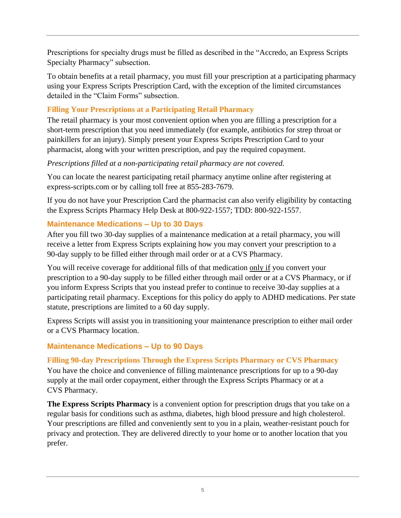Prescriptions for specialty drugs must be filled as described in the "Accredo, an Express Scripts Specialty Pharmacy" subsection.

To obtain benefits at a retail pharmacy, you must fill your prescription at a participating pharmacy using your Express Scripts Prescription Card, with the exception of the limited circumstances detailed in the "Claim Forms" subsection.

#### **Filling Your Prescriptions at a Participating Retail Pharmacy**

The retail pharmacy is your most convenient option when you are filling a prescription for a short-term prescription that you need immediately (for example, antibiotics for strep throat or painkillers for an injury). Simply present your Express Scripts Prescription Card to your pharmacist, along with your written prescription, and pay the required copayment.

#### *Prescriptions filled at a non-participating retail pharmacy are not covered.*

You can locate the nearest participating retail pharmacy anytime online after registering at [express-scripts.com](https://www.caremark.com/wps/portal) or by calling toll free at 855-283-7679.

If you do not have your Prescription Card the pharmacist can also verify eligibility by contacting the Express Scripts Pharmacy Help Desk at 800-922-1557; TDD: 800-922-1557.

#### **Maintenance Medications – Up to 30 Days**

After you fill two 30-day supplies of a maintenance medication at a retail pharmacy, you will receive a letter from Express Scripts explaining how you may convert your prescription to a 90-day supply to be filled either through mail order or at a CVS Pharmacy.

You will receive coverage for additional fills of that medication only if you convert your prescription to a 90-day supply to be filled either through mail order or at a CVS Pharmacy, or if you inform Express Scripts that you instead prefer to continue to receive 30-day supplies at a participating retail pharmacy. Exceptions for this policy do apply to ADHD medications. Per state statute, prescriptions are limited to a 60 day supply.

Express Scripts will assist you in transitioning your maintenance prescription to either mail order or a CVS Pharmacy location.

#### **Maintenance Medications – Up to 90 Days**

#### **Filling 90-day Prescriptions Through the Express Scripts Pharmacy or CVS Pharmacy**

You have the choice and convenience of filling maintenance prescriptions for up to a 90-day supply at the mail order copayment, either through the Express Scripts Pharmacy or at a CVS Pharmacy.

**The Express Scripts Pharmacy** is a convenient option for prescription drugs that you take on a regular basis for conditions such as asthma, diabetes, high blood pressure and high cholesterol. Your prescriptions are filled and conveniently sent to you in a plain, weather-resistant pouch for privacy and protection. They are delivered directly to your home or to another location that you prefer.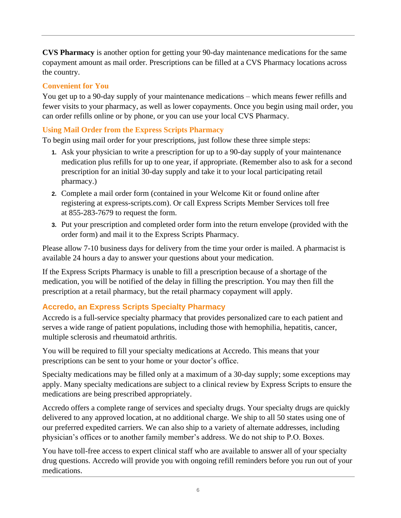**CVS Pharmacy** is another option for getting your 90-day maintenance medications for the same copayment amount as mail order. Prescriptions can be filled at a CVS Pharmacy locations across the country.

#### **Convenient for You**

You get up to a 90-day supply of your maintenance medications – which means fewer refills and fewer visits to your pharmacy, as well as lower copayments. Once you begin using mail order, you can order refills online or by phone, or you can use your local CVS Pharmacy.

#### **Using Mail Order from the Express Scripts Pharmacy**

To begin using mail order for your prescriptions, just follow these three simple steps:

- **1.** Ask your physician to write a prescription for up to a 90-day supply of your maintenance medication plus refills for up to one year, if appropriate. (Remember also to ask for a second prescription for an initial 30-day supply and take it to your local participating retail pharmacy.)
- **2.** Complete a mail order form (contained in your Welcome Kit or found online after registering at [express-scripts.com\)](https://www.caremark.com/wps/portal). Or call Express Scripts Member Services toll free at 855-283-7679 to request the form.
- **3.** Put your prescription and completed order form into the return envelope (provided with the order form) and mail it to the Express Scripts Pharmacy.

Please allow 7-10 business days for delivery from the time your order is mailed. A pharmacist is available 24 hours a day to answer your questions about your medication.

If the Express Scripts Pharmacy is unable to fill a prescription because of a shortage of the medication, you will be notified of the delay in filling the prescription. You may then fill the prescription at a retail pharmacy, but the retail pharmacy copayment will apply.

#### **Accredo, an Express Scripts Specialty Pharmacy**

Accredo is a full-service specialty pharmacy that provides personalized care to each patient and serves a wide range of patient populations, including those with hemophilia, hepatitis, cancer, multiple sclerosis and rheumatoid arthritis.

You will be required to fill your specialty medications at Accredo. This means that your prescriptions can be sent to your home or your doctor's office.

Specialty medications may be filled only at a maximum of a 30-day supply; some exceptions may apply. Many specialty medications are subject to a clinical review by Express Scripts to ensure the medications are being prescribed appropriately.

Accredo offers a complete range of services and specialty drugs. Your specialty drugs are quickly delivered to any approved location, at no additional charge. We ship to all 50 states using one of our preferred expedited carriers. We can also ship to a variety of alternate addresses, including physician's offices or to another family member's address. We do not ship to P.O. Boxes.

You have toll-free access to expert clinical staff who are available to answer all of your specialty drug questions. Accredo will provide you with ongoing refill reminders before you run out of your medications.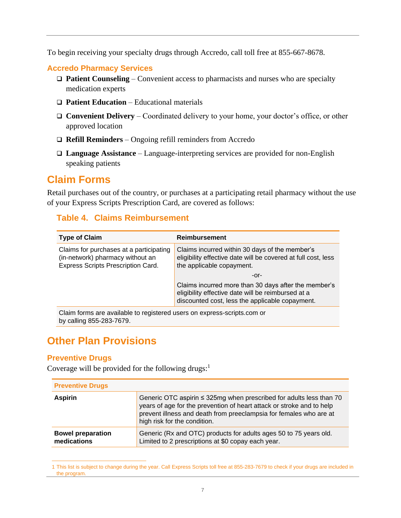To begin receiving your specialty drugs through Accredo, call toll free at 855-667-8678.

#### **Accredo Pharmacy Services**

- ❑ **Patient Counseling** Convenient access to pharmacists and nurses who are specialty medication experts
- ❑ **Patient Education** Educational materials
- ❑ **Convenient Delivery** Coordinated delivery to your home, your doctor's office, or other approved location
- ❑ **Refill Reminders** Ongoing refill reminders from Accredo
- ❑ **Language Assistance** Language-interpreting services are provided for non-English speaking patients

### **Claim Forms**

Retail purchases out of the country, or purchases at a participating retail pharmacy without the use of your Express Scripts Prescription Card, are covered as follows:

#### **Table 4. Claims Reimbursement**

| <b>Type of Claim</b>                                                                                              | <b>Reimbursement</b>                                                                                                                                          |
|-------------------------------------------------------------------------------------------------------------------|---------------------------------------------------------------------------------------------------------------------------------------------------------------|
| Claims for purchases at a participating<br>(in-network) pharmacy without an<br>Express Scripts Prescription Card. | Claims incurred within 30 days of the member's<br>eligibility effective date will be covered at full cost, less<br>the applicable copayment.                  |
|                                                                                                                   | -or-                                                                                                                                                          |
|                                                                                                                   | Claims incurred more than 30 days after the member's<br>eligibility effective date will be reimbursed at a<br>discounted cost, less the applicable copayment. |
| Claim forms are available to registered users on express-scripts.com or<br>by calling 855-283-7679.               |                                                                                                                                                               |

## **Other Plan Provisions**

#### **Preventive Drugs**

Coverage will be provided for the following drugs: $<sup>1</sup>$ </sup>

| <b>Preventive Drugs</b>                 |                                                                                                                                                                                                                                                    |  |
|-----------------------------------------|----------------------------------------------------------------------------------------------------------------------------------------------------------------------------------------------------------------------------------------------------|--|
| <b>Aspirin</b>                          | Generic OTC aspirin ≤ 325mg when prescribed for adults less than 70<br>years of age for the prevention of heart attack or stroke and to help<br>prevent illness and death from preeclampsia for females who are at<br>high risk for the condition. |  |
| <b>Bowel preparation</b><br>medications | Generic (Rx and OTC) products for adults ages 50 to 75 years old.<br>Limited to 2 prescriptions at \$0 copay each year.                                                                                                                            |  |

<sup>1</sup> This list is subject to change during the year. Call Express Scripts toll free at 855-283-7679 to check if your drugs are included in the program.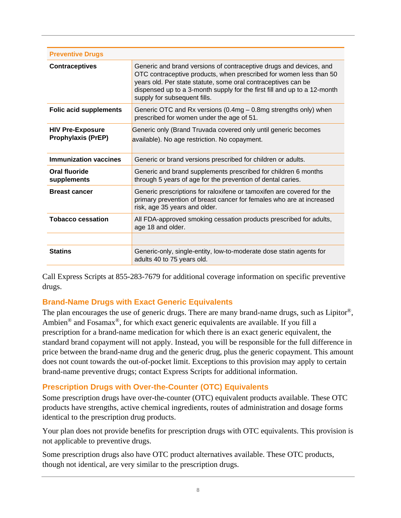| <b>Preventive Drugs</b>                              |                                                                                                                                                                                                                                                                                                                       |
|------------------------------------------------------|-----------------------------------------------------------------------------------------------------------------------------------------------------------------------------------------------------------------------------------------------------------------------------------------------------------------------|
| <b>Contraceptives</b>                                | Generic and brand versions of contraceptive drugs and devices, and<br>OTC contraceptive products, when prescribed for women less than 50<br>years old. Per state statute, some oral contraceptives can be<br>dispensed up to a 3-month supply for the first fill and up to a 12-month<br>supply for subsequent fills. |
| <b>Folic acid supplements</b>                        | Generic OTC and Rx versions (0.4mg - 0.8mg strengths only) when<br>prescribed for women under the age of 51.                                                                                                                                                                                                          |
| <b>HIV Pre-Exposure</b><br><b>Prophylaxis (PrEP)</b> | Generic only (Brand Truvada covered only until generic becomes<br>available). No age restriction. No copayment.                                                                                                                                                                                                       |
| <b>Immunization vaccines</b>                         | Generic or brand versions prescribed for children or adults.                                                                                                                                                                                                                                                          |
| Oral fluoride<br>supplements                         | Generic and brand supplements prescribed for children 6 months<br>through 5 years of age for the prevention of dental caries.                                                                                                                                                                                         |
| <b>Breast cancer</b>                                 | Generic prescriptions for raloxifene or tamoxifen are covered for the<br>primary prevention of breast cancer for females who are at increased<br>risk, age 35 years and older.                                                                                                                                        |
| <b>Tobacco cessation</b>                             | All FDA-approved smoking cessation products prescribed for adults,<br>age 18 and older.                                                                                                                                                                                                                               |
|                                                      |                                                                                                                                                                                                                                                                                                                       |
| <b>Statins</b>                                       | Generic-only, single-entity, low-to-moderate dose statin agents for<br>adults 40 to 75 years old.                                                                                                                                                                                                                     |

Call Express Scripts at 855-283-7679 for additional coverage information on specific preventive drugs.

#### **Brand-Name Drugs with Exact Generic Equivalents**

The plan encourages the use of generic drugs. There are many brand-name drugs, such as Lipitor<sup>®</sup>, Ambien<sup>®</sup> and Fosamax<sup>®</sup>, for which exact generic equivalents are available. If you fill a prescription for a brand-name medication for which there is an exact generic equivalent, the standard brand copayment will not apply. Instead, you will be responsible for the full difference in price between the brand-name drug and the generic drug, plus the generic copayment. This amount does not count towards the out-of-pocket limit. Exceptions to this provision may apply to certain brand-name preventive drugs; contact Express Scripts for additional information.

#### **Prescription Drugs with Over-the-Counter (OTC) Equivalents**

Some prescription drugs have over-the-counter (OTC) equivalent products available. These OTC products have strengths, active chemical ingredients, routes of administration and dosage forms identical to the prescription drug products.

Your plan does not provide benefits for prescription drugs with OTC equivalents. This provision is not applicable to preventive drugs.

Some prescription drugs also have OTC product alternatives available. These OTC products, though not identical, are very similar to the prescription drugs.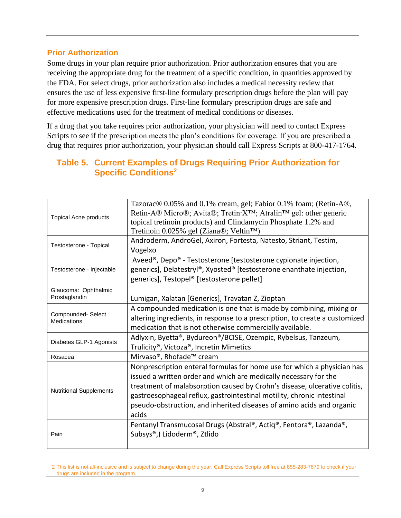#### **Prior Authorization**

Some drugs in your plan require prior authorization. Prior authorization ensures that you are receiving the appropriate drug for the treatment of a specific condition, in quantities approved by the FDA. For select drugs, prior authorization also includes a medical necessity review that ensures the use of less expensive first-line formulary prescription drugs before the plan will pay for more expensive prescription drugs. First-line formulary prescription drugs are safe and effective medications used for the treatment of medical conditions or diseases.

If a drug that you take requires prior authorization, your physician will need to contact Express Scripts to see if the prescription meets the plan's conditions for coverage. If you are prescribed a drug that requires prior authorization, your physician should call Express Scripts at 800-417-1764.

| <b>Topical Acne products</b>            | Tazorac <sup>®</sup> 0.05% and 0.1% cream, gel; Fabior 0.1% foam; (Retin-A <sup>®</sup> ,<br>Retin-A® Micro®; Avita®; Tretin X <sup>™</sup> ; Atralin <sup>™</sup> gel: other generic<br>topical tretinoin products) and Clindamycin Phosphate 1.2% and<br>Tretinoin 0.025% gel (Ziana®; Veltin™)                                                                                    |
|-----------------------------------------|--------------------------------------------------------------------------------------------------------------------------------------------------------------------------------------------------------------------------------------------------------------------------------------------------------------------------------------------------------------------------------------|
| Testosterone - Topical                  | Androderm, AndroGel, Axiron, Fortesta, Natesto, Striant, Testim,<br>Vogelxo                                                                                                                                                                                                                                                                                                          |
| Testosterone - Injectable               | Aveed <sup>®</sup> , Depo <sup>®</sup> - Testosterone [testosterone cypionate injection,<br>generics], Delatestryl®, Xyosted® [testosterone enanthate injection,<br>generics], Testopel® [testosterone pellet]                                                                                                                                                                       |
| Glaucoma: Ophthalmic<br>Prostaglandin   | Lumigan, Xalatan [Generics], Travatan Z, Zioptan                                                                                                                                                                                                                                                                                                                                     |
| Compounded-Select<br><b>Medications</b> | A compounded medication is one that is made by combining, mixing or<br>altering ingredients, in response to a prescription, to create a customized<br>medication that is not otherwise commercially available.                                                                                                                                                                       |
| Diabetes GLP-1 Agonists                 | Adlyxin, Byetta®, Bydureon®/BCISE, Ozempic, Rybelsus, Tanzeum,<br>Trulicity <sup>®</sup> , Victoza®, Incretin Mimetics                                                                                                                                                                                                                                                               |
| Rosacea                                 | Mirvaso <sup>®</sup> , Rhofade™ cream                                                                                                                                                                                                                                                                                                                                                |
| <b>Nutritional Supplements</b>          | Nonprescription enteral formulas for home use for which a physician has<br>issued a written order and which are medically necessary for the<br>treatment of malabsorption caused by Crohn's disease, ulcerative colitis,<br>gastroesophageal reflux, gastrointestinal motility, chronic intestinal<br>pseudo-obstruction, and inherited diseases of amino acids and organic<br>acids |
| Pain                                    | Fentanyl Transmucosal Drugs (Abstral®, Actiq®, Fentora®, Lazanda®,<br>Subsys®,) Lidoderm®, Ztlido                                                                                                                                                                                                                                                                                    |

#### **Table 5. Current Examples of Drugs Requiring Prior Authorization for Specific Conditions<sup>21</sup>**

<sup>2</sup> This list is not all-inclusive and is subject to change during the year. Call Express Scripts toll free at 855-283-7679 to check if your drugs are included in the program.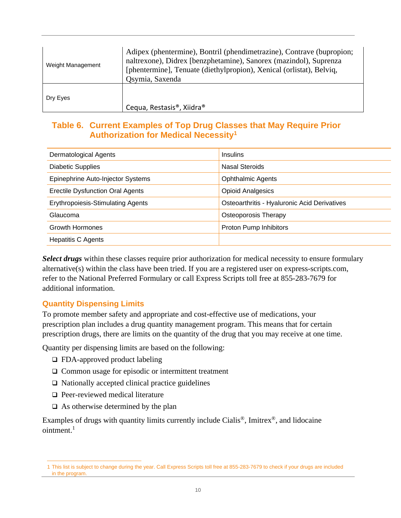| Weight Management | Adipex (phentermine), Bontril (phendimetrazine), Contrave (bupropion;<br>naltrexone), Didrex [benzphetamine), Sanorex (mazindol), Suprenza<br>[phentermine], Tenuate (diethylpropion), Xenical (orlistat), Belviq,<br>Qsymia, Saxenda |
|-------------------|---------------------------------------------------------------------------------------------------------------------------------------------------------------------------------------------------------------------------------------|
| Dry Eyes          | Cequa, Restasis <sup>®</sup> , Xiidra <sup>®</sup>                                                                                                                                                                                    |

#### **Table 6. Current Examples of Top Drug Classes that May Require Prior Authorization for Medical Necessity<sup>1</sup>**

| <b>Dermatological Agents</b>             | <b>Insulins</b>                              |
|------------------------------------------|----------------------------------------------|
| Diabetic Supplies                        | <b>Nasal Steroids</b>                        |
| Epinephrine Auto-Injector Systems        | <b>Ophthalmic Agents</b>                     |
| <b>Erectile Dysfunction Oral Agents</b>  | <b>Opioid Analgesics</b>                     |
| <b>Erythropoiesis-Stimulating Agents</b> | Osteoarthritis - Hyaluronic Acid Derivatives |
| Glaucoma                                 | Osteoporosis Therapy                         |
| <b>Growth Hormones</b>                   | Proton Pump Inhibitors                       |
| <b>Hepatitis C Agents</b>                |                                              |

*Select drugs* within these classes require prior authorization for medical necessity to ensure formulary alternative(s) within the class have been tried. If you are a registered user on express-scripts.com, refer to the National Preferred Formulary or call Express Scripts toll free at 855-283-7679 for additional information.

#### **Quantity Dispensing Limits**

To promote member safety and appropriate and cost-effective use of medications, your prescription plan includes a drug quantity management program. This means that for certain prescription drugs, there are limits on the quantity of the drug that you may receive at one time.

Quantity per dispensing limits are based on the following:

- ❑ FDA-approved product labeling
- ❑ Common usage for episodic or intermittent treatment
- ❑ Nationally accepted clinical practice guidelines
- ❑ Peer-reviewed medical literature
- $\Box$  As otherwise determined by the plan

Examples of drugs with quantity limits currently include Cialis®, Imitrex®, and lidocaine ointment. 1

<sup>1</sup> This list is subject to change during the year. Call Express Scripts toll free at 855-283-7679 to check if your drugs are included in the program.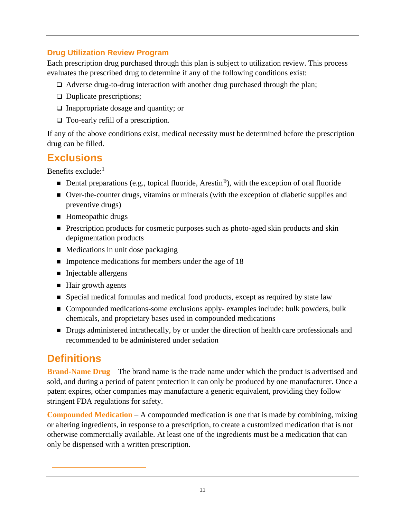#### **Drug Utilization Review Program**

Each prescription drug purchased through this plan is subject to utilization review. This process evaluates the prescribed drug to determine if any of the following conditions exist:

- ❑ Adverse drug-to-drug interaction with another drug purchased through the plan;
- ❑ Duplicate prescriptions;
- ❑ Inappropriate dosage and quantity; or
- ❑ Too-early refill of a prescription.

If any of the above conditions exist, medical necessity must be determined before the prescription drug can be filled.

## **Exclusions**

Benefits exclude:<sup>1</sup>

- $\blacksquare$  Dental preparations (e.g., topical fluoride, Arestin<sup>®</sup>), with the exception of oral fluoride
- Over-the-counter drugs, vitamins or minerals (with the exception of diabetic supplies and preventive drugs)
- Homeopathic drugs
- Prescription products for cosmetic purposes such as photo-aged skin products and skin depigmentation products
- $\blacksquare$  Medications in unit dose packaging
- Impotence medications for members under the age of 18
- Injectable allergens
- Hair growth agents
- Special medical formulas and medical food products, except as required by state law
- Compounded medications-some exclusions apply- examples include: bulk powders, bulk chemicals, and proprietary bases used in compounded medications
- Drugs administered intrathecally, by or under the direction of health care professionals and recommended to be administered under sedation

# **Definitions**

**Brand-Name Drug** – The brand name is the trade name under which the product is advertised and sold, and during a period of patent protection it can only be produced by one manufacturer. Once a patent expires, other companies may manufacture a generic equivalent, providing they follow stringent FDA regulations for safety.

**Compounded Medication** – A compounded medication is one that is made by combining, mixing or altering ingredients, in response to a prescription, to create a customized medication that is not otherwise commercially available. At least one of the ingredients must be a medication that can only be dispensed with a written prescription.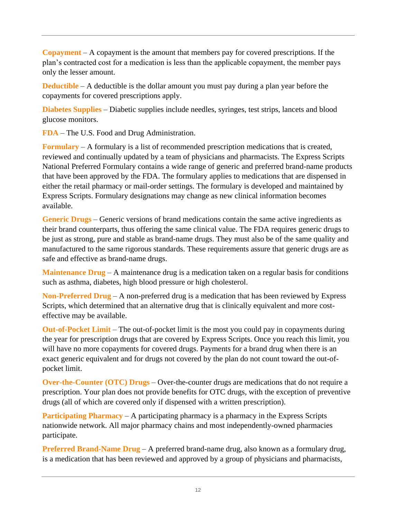**Copayment** – A copayment is the amount that members pay for covered prescriptions. If the plan's contracted cost for a medication is less than the applicable copayment, the member pays only the lesser amount.

**Deductible** – A deductible is the dollar amount you must pay during a plan year before the copayments for covered prescriptions apply.

**Diabetes Supplies** – Diabetic supplies include needles, syringes, test strips, lancets and blood glucose monitors.

**FDA** – The U.S. Food and Drug Administration.

**Formulary** – A formulary is a list of recommended prescription medications that is created, reviewed and continually updated by a team of physicians and pharmacists. The Express Scripts National Preferred Formulary contains a wide range of generic and preferred brand-name products that have been approved by the FDA. The formulary applies to medications that are dispensed in either the retail pharmacy or mail-order settings. The formulary is developed and maintained by Express Scripts. Formulary designations may change as new clinical information becomes available.

**Generic Drugs** – Generic versions of brand medications contain the same active ingredients as their brand counterparts, thus offering the same clinical value. The FDA requires generic drugs to be just as strong, pure and stable as brand-name drugs. They must also be of the same quality and manufactured to the same rigorous standards. These requirements assure that generic drugs are as safe and effective as brand-name drugs.

**Maintenance Drug** – A maintenance drug is a medication taken on a regular basis for conditions such as asthma, diabetes, high blood pressure or high cholesterol.

**Non-Preferred Drug** – A non-preferred drug is a medication that has been reviewed by Express Scripts, which determined that an alternative drug that is clinically equivalent and more costeffective may be available.

**Out-of-Pocket Limit** – The out-of-pocket limit is the most you could pay in copayments during the year for prescription drugs that are covered by Express Scripts. Once you reach this limit, you will have no more copayments for covered drugs. Payments for a brand drug when there is an exact generic equivalent and for drugs not covered by the plan do not count toward the out-ofpocket limit.

**Over-the-Counter (OTC) Drugs** – Over-the-counter drugs are medications that do not require a prescription. Your plan does not provide benefits for OTC drugs, with the exception of preventive drugs (all of which are covered only if dispensed with a written prescription).

**Participating Pharmacy** – A participating pharmacy is a pharmacy in the Express Scripts nationwide network. All major pharmacy chains and most independently-owned pharmacies participate.

**Preferred Brand-Name Drug** – A preferred brand-name drug, also known as a formulary drug, is a medication that has been reviewed and approved by a group of physicians and pharmacists,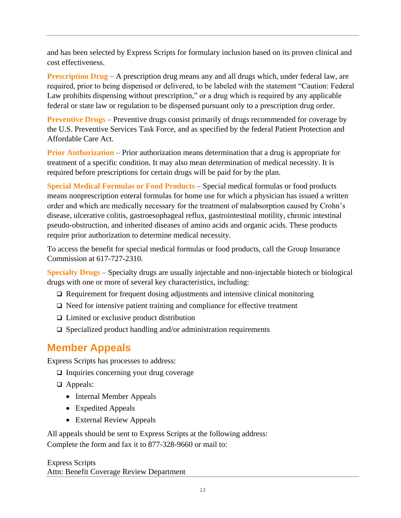and has been selected by Express Scripts for formulary inclusion based on its proven clinical and cost effectiveness.

**Prescription Drug** – A prescription drug means any and all drugs which, under federal law, are required, prior to being dispensed or delivered, to be labeled with the statement "Caution: Federal Law prohibits dispensing without prescription," or a drug which is required by any applicable federal or state law or regulation to be dispensed pursuant only to a prescription drug order.

**Preventive Drugs** – Preventive drugs consist primarily of drugs recommended for coverage by the U.S. Preventive Services Task Force, and as specified by the federal Patient Protection and Affordable Care Act.

**Prior Authorization** – Prior authorization means determination that a drug is appropriate for treatment of a specific condition. It may also mean determination of medical necessity. It is required before prescriptions for certain drugs will be paid for by the plan.

**Special Medical Formulas or Food Products** – Special medical formulas or food products means nonprescription enteral formulas for home use for which a physician has issued a written order and which are medically necessary for the treatment of malabsorption caused by Crohn's disease, ulcerative colitis, gastroesophageal reflux, gastrointestinal motility, chronic intestinal pseudo-obstruction, and inherited diseases of amino acids and organic acids. These products require prior authorization to determine medical necessity.

To access the benefit for special medical formulas or food products, call the Group Insurance Commission at 617-727-2310.

**Specialty Drugs** – Specialty drugs are usually injectable and non-injectable biotech or biological drugs with one or more of several key characteristics, including:

- ❑ Requirement for frequent dosing adjustments and intensive clinical monitoring
- ❑ Need for intensive patient training and compliance for effective treatment
- ❑ Limited or exclusive product distribution
- ❑ Specialized product handling and/or administration requirements

## **Member Appeals**

Express Scripts has processes to address:

- ❑ Inquiries concerning your drug coverage
- ❑ Appeals:
	- Internal Member Appeals
	- Expedited Appeals
	- External Review Appeals

All appeals should be sent to Express Scripts at the following address:

Complete the form and fax it to 877-328-9660 or mail to:

Express Scripts Attn: Benefit Coverage Review Department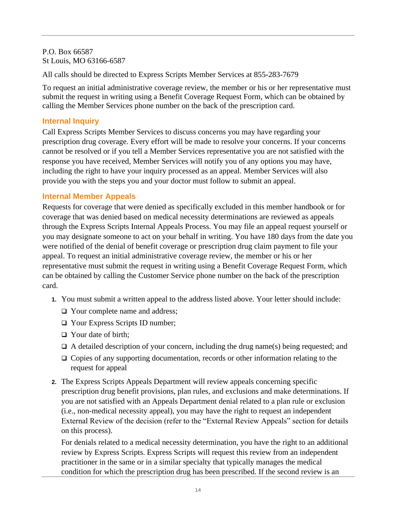P.O. Box 66587 St Louis, MO 63166-6587

All calls should be directed to Express Scripts Member Services at 855-283-7679

To request an initial administrative coverage review, the member or his or her representative must submit the request in writing using a Benefit Coverage Request Form, which can be obtained by calling the Member Services phone number on the back of the prescription card.

#### **Internal Inquiry**

Call Express Scripts Member Services to discuss concerns you may have regarding your prescription drug coverage. Every effort will be made to resolve your concerns. If your concerns cannot be resolved or if you tell a Member Services representative you are not satisfied with the response you have received, Member Services will notify you of any options you may have, including the right to have your inquiry processed as an appeal. Member Services will also provide you with the steps you and your doctor must follow to submit an appeal.

#### **Internal Member Appeals**

Requests for coverage that were denied as specifically excluded in this member handbook or for coverage that was denied based on medical necessity determinations are reviewed as appeals through the Express Scripts Internal Appeals Process. You may file an appeal request yourself or you may designate someone to act on your behalf in writing. You have 180 days from the date you were notified of the denial of benefit coverage or prescription drug claim payment to file your appeal. To request an initial administrative coverage review, the member or his or her representative must submit the request in writing using a Benefit Coverage Request Form, which can be obtained by calling the Customer Service phone number on the back of the prescription card.

- **1.** You must submit a written appeal to the address listed above. Your letter should include:
	- ❑ Your complete name and address;
	- ❑ Your Express Scripts ID number;
	- ❑ Your date of birth;
	- $\Box$  A detailed description of your concern, including the drug name(s) being requested; and
	- ❑ Copies of any supporting documentation, records or other information relating to the request for appeal
- **2.** The Express Scripts Appeals Department will review appeals concerning specific prescription drug benefit provisions, plan rules, and exclusions and make determinations. If you are not satisfied with an Appeals Department denial related to a plan rule or exclusion (i.e., non-medical necessity appeal), you may have the right to request an independent External Review of the decision (refer to the "External Review Appeals" section for details on this process).

For denials related to a medical necessity determination, you have the right to an additional review by Express Scripts. Express Scripts will request this review from an independent practitioner in the same or in a similar specialty that typically manages the medical condition for which the prescription drug has been prescribed. If the second review is an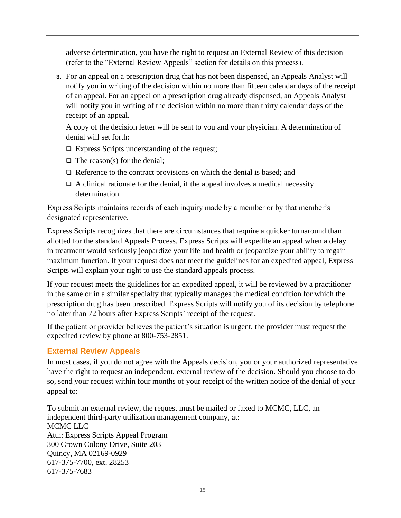adverse determination, you have the right to request an External Review of this decision (refer to the "External Review Appeals" section for details on this process).

**3.** For an appeal on a prescription drug that has not been dispensed, an Appeals Analyst will notify you in writing of the decision within no more than fifteen calendar days of the receipt of an appeal. For an appeal on a prescription drug already dispensed, an Appeals Analyst will notify you in writing of the decision within no more than thirty calendar days of the receipt of an appeal.

A copy of the decision letter will be sent to you and your physician. A determination of denial will set forth:

- ❑ Express Scripts understanding of the request;
- $\Box$  The reason(s) for the denial;
- ❑ Reference to the contract provisions on which the denial is based; and
- $\Box$  A clinical rationale for the denial, if the appeal involves a medical necessity determination.

Express Scripts maintains records of each inquiry made by a member or by that member's designated representative.

Express Scripts recognizes that there are circumstances that require a quicker turnaround than allotted for the standard Appeals Process. Express Scripts will expedite an appeal when a delay in treatment would seriously jeopardize your life and health or jeopardize your ability to regain maximum function. If your request does not meet the guidelines for an expedited appeal, Express Scripts will explain your right to use the standard appeals process.

If your request meets the guidelines for an expedited appeal, it will be reviewed by a practitioner in the same or in a similar specialty that typically manages the medical condition for which the prescription drug has been prescribed. Express Scripts will notify you of its decision by telephone no later than 72 hours after Express Scripts' receipt of the request.

If the patient or provider believes the patient's situation is urgent, the provider must request the expedited review by phone at 800-753-2851.

#### **External Review Appeals**

In most cases, if you do not agree with the Appeals decision, you or your authorized representative have the right to request an independent, external review of the decision. Should you choose to do so, send your request within four months of your receipt of the written notice of the denial of your appeal to:

To submit an external review, the request must be mailed or faxed to MCMC, LLC, an independent third-party utilization management company, at: MCMC LLC Attn: Express Scripts Appeal Program 300 Crown Colony Drive, Suite 203 Quincy, MA 02169-0929 617-375-7700, ext. 28253 617-375-7683